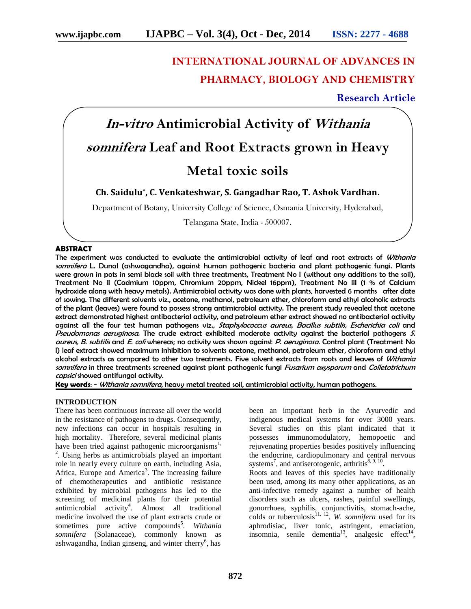# **INTERNATIONAL JOURNAL OF ADVANCES IN PHARMACY, BIOLOGY AND CHEMISTRY**

# **Research Article**



# **Ch. Saidulu\* , C. Venkateshwar, S. Gangadhar Rao, T. Ashok Vardhan.**

Department of Botany, University College of Science, Osmania University, Hyderabad,

Telangana State, India - 500007.

#### **ABSTRACT**

The experiment was conducted to evaluate the antimicrobial activity of leaf and root extracts of *Withania somnifera* L. Dunal (ashwagandha), against human pathogenic bacteria and plant pathogenic fungi. Plants were grown in pots in semi black soil with three treatments, Treatment No I (without any additions to the soil), Treatment No II (Cadmium 10ppm, Chromium 20ppm, Nickel 16ppm), Treatment No III (1 % of Calcium hydroxide along with heavy metals). Antimicrobial activity was done with plants, harvested 6 months after date of sowing. The different solvents viz., acetone, methanol, petroleum ether, chloroform and ethyl alcoholic extracts of the plant (leaves) were found to possess strong antimicrobial activity. The present study revealed that acetone extract demonstrated highest antibacterial activity, and petroleum ether extract showed no antibacterial activity against all the four test human pathogens viz., *Staphylococcus aureus, Bacillus subtilis, Escherichia coli* and *Pseudomonas aeruginosa.* The crude extract exhibited moderate activity against the bacterial pathogens *S. aureus, B. subtilis* and *E. coli* whereas; no activity was shown against *P. aeruginosa*. Control plant (Treatment No I) leaf extract showed maximum inhibition to solvents acetone, methanol, petroleum ether, chloroform and ethyl alcohol extracts as compared to other two treatments. Five solvent extracts from roots and leaves of *Withania somnifera* in three treatments screened against plant pathogenic fungi *Fusarium oxysporum* and *Colletotrichum capsici* showed antifungal activity.

**Key words**: - *Withania somnifera*, heavy metal treated soil, antimicrobial activity, human pathogens.

# **INTRODUCTION**

There has been continuous increase all over the world in the resistance of pathogens to drugs. Consequently, new infections can occur in hospitals resulting in high mortality. Therefore, several medicinal plants have been tried against pathogenic microorganisms<sup>1,</sup> . Using herbs as antimicrobials played an important role in nearly every culture on earth, including Asia, Africa, Europe and America<sup>3</sup>. The increasing failure of chemotherapeutics and antibiotic resistance exhibited by microbial pathogens has led to the screening of medicinal plants for their potential antimicrobial activity<sup>4</sup>. Almost all traditional medicine involved the use of plant extracts crude or sometimes pure active compounds<sup>5</sup>. Withania *somnifera* (Solanaceae)*,* commonly known as ashwagandha, Indian ginseng, and winter cherry<sup>6</sup>, has

been an important herb in the Ayurvedic and indigenous medical systems for over 3000 years. Several studies on this plant indicated that it possesses immunomodulatory, hemopoetic and rejuvenating properties besides positively influencing the endocrine, cardiopulmonary and central nervous systems<sup>7</sup>, and antiserotogenic, arthritis $8, 9, 10$ .

Roots and leaves of this species have traditionally been used, among its many other applications, as an anti-infective remedy against a number of health disorders such as ulcers, rashes, painful swellings, gonorrhoea, syphilis, conjunctivitis, stomach-ache, colds or tuberculosis<sup>11, 12</sup>. W. *somnifera* used for its aphrodisiac, liver tonic, astringent, emaciation, insomnia, senile dementia<sup>13</sup>, analgesic effect<sup>14</sup>,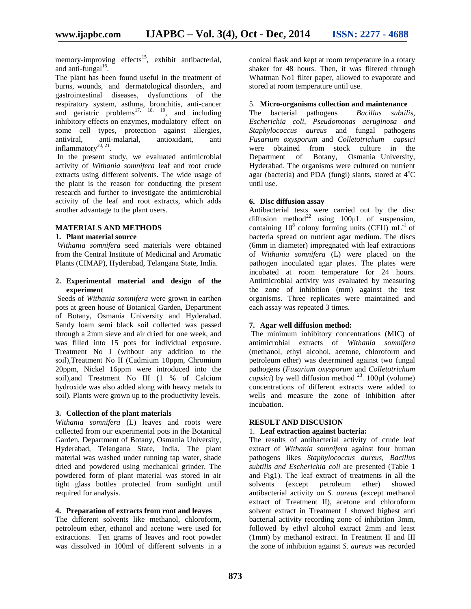memory-improving effects<sup>15</sup>, exhibit antibacterial, and anti-fungal $16$ .

The plant has been found useful in the treatment of burns, wounds, and dermatological disorders, and gastrointestinal diseases, dysfunctions of the respiratory system, asthma, bronchitis, anti-cancer and geriatric problems<sup>17, 18, 19</sup>, and including inhibitory effects on enzymes, modulatory effect on some cell types, protection against allergies,<br>antiviral, anti-malarial, antioxidant, anti antiviral, anti-malarial, antioxidant, anti inflammatory $^{20, 21}$ . .

In the present study, we evaluated antimicrobial activity of *Withania somnifera* leaf and root crude extracts using different solvents. The wide usage of the plant is the reason for conducting the present research and further to investigate the antimicrobial activity of the leaf and root extracts, which adds another advantage to the plant users.

# **MATERIALS AND METHODS**

## **1. Plant material source**

*Withania somnifera* seed materials were obtained from the Central Institute of Medicinal and Aromatic Plants (CIMAP), Hyderabad, Telangana State, India.

# **2. Experimental material and design of the experiment**

Seeds of *Withania somnifera* were grown in earthen pots at green house of Botanical Garden, Department of Botany, Osmania University and Hyderabad. Sandy loam semi black soil collected was passed through a 2mm sieve and air dried for one week, and was filled into 15 pots for individual exposure. Treatment No I (without any addition to the soil),Treatment No II (Cadmium 10ppm, Chromium 20ppm, Nickel 16ppm were introduced into the soil),and Treatment No III (1 % of Calcium hydroxide was also added along with heavy metals to soil). Plants were grown up to the productivity levels.

#### **3. Collection of the plant materials**

*Withania somnifera* (L) leaves and roots were collected from our experimental pots in the Botanical Garden, Department of Botany, Osmania University, Hyderabad, Telangana State, India. The plant material was washed under running tap water, shade dried and powdered using mechanical grinder. The powdered form of plant material was stored in air tight glass bottles protected from sunlight until required for analysis.

#### **4. Preparation of extracts from root and leaves**

The different solvents like methanol, chloroform, petroleum ether, ethanol and acetone were used for extractions. Ten grams of leaves and root powder was dissolved in 100ml of different solvents in a conical flask and kept at room temperature in a rotary shaker for 48 hours. Then, it was filtered through Whatman No1 filter paper, allowed to evaporate and stored at room temperature until use.

# 5. **Micro-organisms collection and maintenance**

The bacterial pathogens *Bacillus subtilis, Escherichia coli, Pseudomonas aeruginosa and Staphylococcus aureus* and fungal pathogens *Fusarium oxysporum* and *Colletotrichum capsici* were obtained from stock culture in the Department of Botany, Osmania University, Hyderabad. The organisms were cultured on nutrient agar (bacteria) and PDA (fungi) slants, stored at  $4^{\circ}C$ until use.

#### **6. Disc diffusion assay**

Antibacterial tests were carried out by the disc diffusion method<sup>22</sup> using 100 $\mu$ L of suspension, containing  $10^8$  colony forming units (CFU)  $mL^{-1}$  of bacteria spread on nutrient agar medium. The discs (6mm in diameter) impregnated with leaf extractions of *Withania somnifera* (L) were placed on the pathogen inoculated agar plates. The plates were incubated at room temperature for 24 hours. Antimicrobial activity was evaluated by measuring the zone of inhibition (mm) against the test organisms. Three replicates were maintained and each assay was repeated 3 times.

#### **7. Agar well diffusion method:**

The minimum inhibitory concentrations (MIC) of antimicrobial extracts of *Withania somnifera* (methanol, ethyl alcohol, acetone, chloroform and petroleum ether) was determined against two fungal pathogens (*Fusarium oxysporum* and *Colletotrichum capsici*) by well diffusion method  $^{23}$ . 100 $\mu$ l (volume) concentrations of different extracts were added to wells and measure the zone of inhibition after incubation.

#### **RESULT AND DISCUSION**

#### 1. **Leaf extraction against bacteria:**

The results of antibacterial activity of crude leaf extract of *Withania somnifera* against four human pathogens likes *Staphylococcus aureus, Bacillus subtilis and Escherichia coli* are presented (Table 1 and Fig1). The leaf extract of treatments in all the solvents (except petroleum ether) showed antibacterial activity on *S. aureus* (except methanol extract of Treatment II), acetone and chloroform solvent extract in Treatment I showed highest anti bacterial activity recording zone of inhibition 3mm, followed by ethyl alcohol extract 2mm and least (1mm) by methanol extract. In Treatment II and III the zone of inhibition against *S. aureus* was recorded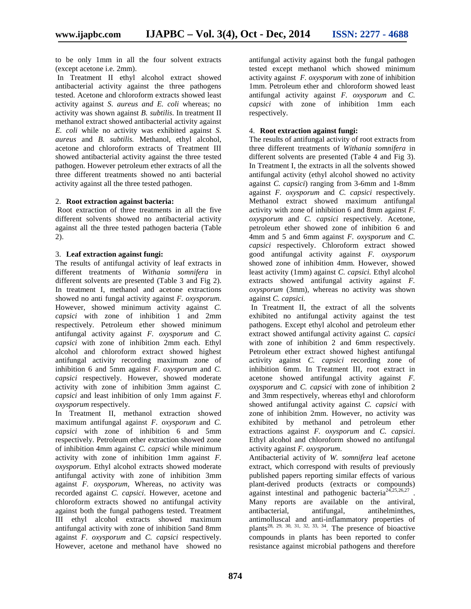to be only 1mm in all the four solvent extracts (except acetone i.e.2mm).

In Treatment II ethyl alcohol extract showed antibacterial activity against the three pathogens tested. Acetone and chloroform extracts showed least activity against *S. aureus and E. coli* whereas; no activity was shown against *B. subtilis*. In treatment II methanol extract showed antibacterial activity against *E. coli* while no activity was exhibited against *S. aureus* and *B. subtilis.* Methanol, ethyl alcohol, acetone and chloroform extracts of Treatment III showed antibacterial activity against the three tested pathogen. However petroleum ether extracts of all the three different treatments showed no anti bacterial activity against all the three tested pathogen.

# 2. **Root extraction against bacteria:**

Root extraction of three treatments in all the five different solvents showed no antibacterial activity against all the three tested pathogen bacteria (Table 2).

# 3. **Leaf extraction against fungi:**

The results of antifungal activity of leaf extracts in different treatments of *Withania somnifera* in different solvents are presented (Table 3 and Fig 2). In treatment I, methanol and acetone extractions showed no anti fungal activity against *F. oxysporum.* However, showed minimum activity against *C. capsici* with zone of inhibition 1 and 2mm respectively. Petroleum ether showed minimum antifungal activity against *F. oxysporum* and *C. capsici* with zone of inhibition 2mm each. Ethyl alcohol and chloroform extract showed highest antifungal activity recording maximum zone of inhibition 6 and 5mm against *F. oxysporum* and *C. capsici* respectively. However, showed moderate activity with zone of inhibition 3mm against *C. capsici* and least inhibition of only 1mm against *F. oxysporum* respectively.

In Treatment II, methanol extraction showed maximum antifungal against *F. oxysporum* and *C. capsici* with zone of inhibition 6 and 5mm respectively. Petroleum ether extraction showed zone of inhibition 4mm against *C. capsici* while minimum activity with zone of inhibition 1mm against *F. oxysporum*. Ethyl alcohol extracts showed moderate antifungal activity with zone of inhibition 3mm against *F. oxysporum,* Whereas, no activity was recorded against *C. capsici*. However, acetone and chloroform extracts showed no antifungal activity against both the fungal pathogens tested. Treatment III ethyl alcohol extracts showed maximum antifungal activity with zone of inhibition 5and 8mm against *F. oxysporum* and *C.capsici* respectively. However, acetone and methanol have showed no

antifungal activity against both the fungal pathogen tested except methanol which showed minimum activity against *F. oxysporum* with zone of inhibition 1mm. Petroleum ether and chloroform showed least antifungal activity against *F. oxysporum* and *C. capsici* with zone of inhibition 1mm each respectively.

# 4. **Root extraction against fungi:**

The results of antifungal activity of root extracts from three different treatments of *Withania somnifera* in different solvents are presented (Table 4 and Fig 3). In Treatment I, the extracts in all the solvents showed antifungal activity (ethyl alcohol showed no activity against *C. capsici*) ranging from 3-6mm and 1-8mm against *F. oxysporum* and *C.capsici* respectively. Methanol extract showed maximum antifungal activity with zone of inhibition 6 and 8mm against *F. oxysporum* and *C. capsici* respectively. Acetone, petroleum ether showed zone of inhibition 6 and 4mm and 5 and 6mm against *F. oxysporum* and *C. capsici* respectively. Chloroform extract showed good antifungal activity against *F. oxysporum* showed zone of inhibition 4mm. However, showed least activity (1mm) against *C. capsici.* Ethyl alcohol extracts showed antifungal activity against *F. oxysporum* (3mm), whereas no activity was shown against *C. capsici.*

In Treatment II, the extract of all the solvents exhibited no antifungal activity against the test pathogens. Except ethyl alcohol and petroleum ether extract showed antifungal activity against *C. capsici* with zone of inhibition 2 and 6mm respectively. Petroleum ether extract showed highest antifungal activity against *C. capsici* recording zone of inhibition 6mm. In Treatment III, root extract in acetone showed antifungal activity against *F. oxysporum* and *C. capsici* with zone of inhibition 2 and 3mm respectively, whereas ethyl and chloroform showed antifungal activity against *C. capsici* with zone of inhibition 2mm. However, no activity was exhibited by methanol and petroleum ether extractions against *F. oxysporum* and *C. capsici*. Ethyl alcohol and chloroform showed no antifungal activity against *F. oxysporum*.

Antibacterial activity of *W. somnifera* leaf acetone extract, which correspond with results of previously published papers reporting similar effects of various plant-derived products (extracts or compounds) against intestinal and pathogenic bacteria<sup>24,25,26,27</sup> . Many reports are available on the antiviral, antibacterial, antifungal, antihelminthes, antimolluscal and anti-inflammatory properties of plants<sup>28, 29, 30, 31, 32, 33, 34</sup>. The presence of bioactive compounds in plants has been reported to confer resistance against microbial pathogens and therefore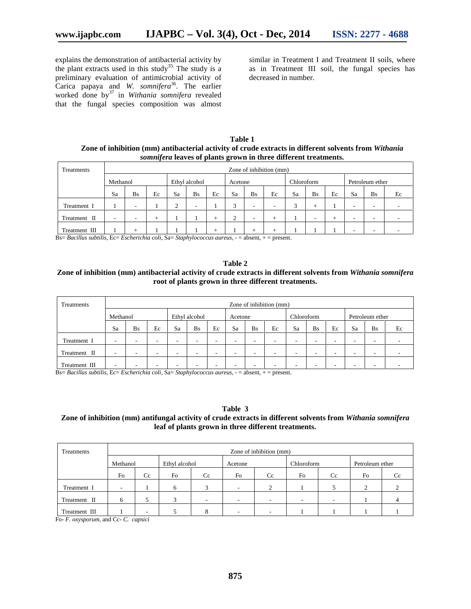explains the demonstration of antibacterial activity by the plant extracts used in this study<sup>35.</sup> The study is a preliminary evaluation of antimicrobial activity of Carica papaya and *W. somnifera*<sup>36</sup>. The earlier worked done by<sup>37</sup> in *Withania somnifera* revealed that the fungal species composition was almost

similar in Treatment I and Treatment II soils, where as in Treatment III soil, the fungal species has decreased in number.

**Table 1 Zone of inhibition (mm) antibacterial activity of crude extracts in different solvents from** *Withania somnifera* **leaves of plants grown in three different treatments.**

| Treatments    | Zone of inhibition (mm) |                          |      |                |               |        |         |           |    |            |           |    |                 |                          |    |  |
|---------------|-------------------------|--------------------------|------|----------------|---------------|--------|---------|-----------|----|------------|-----------|----|-----------------|--------------------------|----|--|
|               | Methanol                |                          |      |                | Ethyl alcohol |        | Acetone |           |    | Chloroform |           |    | Petroleum ether |                          |    |  |
|               | Sa                      | <b>Bs</b>                | Ec   | Sa             | <b>Bs</b>     | Ec     | Sa      | <b>Bs</b> | Ec | Sa         | <b>Bs</b> | Ec | Sa              | <b>Bs</b>                | Ec |  |
| Treatment I   |                         | $\overline{\phantom{a}}$ |      | $\bigcap$<br>∠ |               |        | κ<br>J  | ۰         | -  | $\sim$     | -         |    | -               | -                        |    |  |
| Treatment II  | -                       | $\overline{\phantom{a}}$ | $^+$ |                |               | $\pm$  | Δ<br>∠  | ۰         | +  |            | -         |    | -               | $\overline{\phantom{a}}$ |    |  |
| Treatment III |                         | $^+$                     |      |                |               | $\div$ |         | +         |    |            |           |    | -               | -                        |    |  |

Bs= *Bacillus subtilis,* Ec= *Escherichia coli,* Sa= *Staphylococcus aureus*, - = absent, + = present.

# **Table 2 Zone of inhibition (mm) antibacterial activity of crude extracts in different solvents from** *Withania somnifera* **root of plants grown in three different treatments.**

| Treatments    | Zone of inhibition (mm)  |                          |                          |               |                          |    |                          |                          |    |            |                          |    |                 |           |    |
|---------------|--------------------------|--------------------------|--------------------------|---------------|--------------------------|----|--------------------------|--------------------------|----|------------|--------------------------|----|-----------------|-----------|----|
|               | Methanol                 |                          |                          | Ethyl alcohol |                          |    | Acetone                  |                          |    | Chloroform |                          |    | Petroleum ether |           |    |
|               | Sa                       | <b>Bs</b>                | Ec                       | Sa            | <b>Bs</b>                | Ec | Sa                       | <b>Bs</b>                | Ec | Sa         | <b>Bs</b>                | Ec | Sa              | <b>Bs</b> | Ec |
| Treatment I   | $\overline{\phantom{a}}$ | $\overline{\phantom{a}}$ | $\overline{\phantom{a}}$ |               | $\overline{\phantom{a}}$ |    |                          | $\overline{\phantom{a}}$ |    |            | -                        | -  | -               | -         |    |
| Treatment II  |                          |                          | $\overline{\phantom{a}}$ |               | -                        |    | $\overline{\phantom{a}}$ | $\overline{\phantom{a}}$ |    | -          | $\overline{\phantom{a}}$ | -  | ۰               | -         |    |
| Treatment III | -                        | -                        | $\overline{\phantom{a}}$ | -             | -                        | -  |                          | $\overline{\phantom{a}}$ | -  |            |                          |    |                 |           |    |

Bs= *Bacillus subtilis,* Ec= *Escherichia coli,* Sa= *Staphylococcus aureus*, - = absent, + = present.

**Table 3**

# **Zone of inhibition (mm) antifungal activity of crude extracts in different solvents from** *Withania somnifera* **leaf of plants grown in three different treatments.**

| Treatments    | Zone of inhibition (mm)  |                          |               |                          |                          |        |                          |    |                 |    |  |  |
|---------------|--------------------------|--------------------------|---------------|--------------------------|--------------------------|--------|--------------------------|----|-----------------|----|--|--|
|               | Methanol                 |                          | Ethyl alcohol |                          | Acetone                  |        | Chloroform               |    | Petroleum ether |    |  |  |
|               | Fo                       | Cc                       | Fo            | Cc                       | Fo                       | Cc     | Fo                       | Cc | Fo              | Cc |  |  |
| Treatment I   | $\overline{\phantom{a}}$ |                          | 6             | $\mathbf{z}$             | $\overline{\phantom{a}}$ | $\sim$ |                          |    | ◠<br>∠          | ◠  |  |  |
| Treatment II  | 6                        |                          |               | $\overline{\phantom{a}}$ | $\overline{\phantom{a}}$ |        | $\overline{\phantom{a}}$ |    |                 | 4  |  |  |
| Treatment III |                          | $\overline{\phantom{0}}$ |               |                          | $\overline{\phantom{a}}$ |        |                          |    |                 |    |  |  |

Fo- *F. oxysporum*, and Cc- *C. capsici*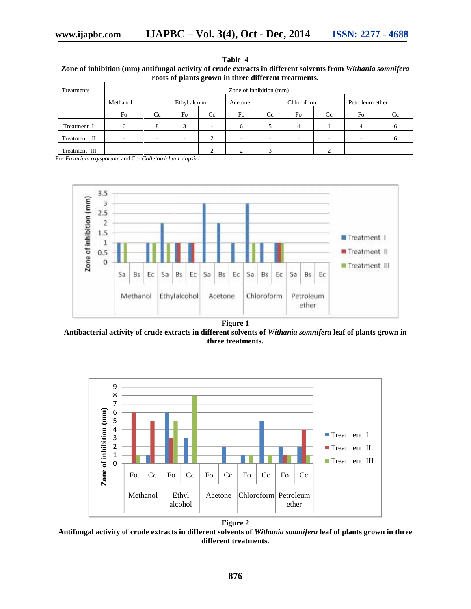| Table 4                                                                                                     |
|-------------------------------------------------------------------------------------------------------------|
| Zone of inhibition (mm) antifungal activity of crude extracts in different solvents from Withania somnifera |
| roots of plants grown in three different treatments.                                                        |

| Treatments                                             | Zone of inhibition (mm) |    |               |    |         |    |            |     |                 |    |  |  |
|--------------------------------------------------------|-------------------------|----|---------------|----|---------|----|------------|-----|-----------------|----|--|--|
|                                                        | Methanol                |    | Ethyl alcohol |    | Acetone |    | Chloroform |     | Petroleum ether |    |  |  |
|                                                        | Fo                      | Cc | Fo            | Cc | Fo      | Cc | Fo         | Cc. | Fo              | Cc |  |  |
| Treatment I                                            | 6                       | 8  | 3             |    | 6       |    | 4          |     | 4               |    |  |  |
| Treatment II                                           |                         |    | ۰             |    |         |    |            |     |                 |    |  |  |
| Treatment III                                          |                         |    |               |    |         |    |            |     |                 |    |  |  |
| Fo- Fusarium oxysporum, and Cc- Colletotrichum capsici |                         |    |               |    |         |    |            |     |                 |    |  |  |



**Figure 1**

**Antibacterial activity of crude extracts in different solvents of** *Withania somnifera* **leaf of plants grown in activity ofgrown three treatments.**



Antifungal activity of crude extracts in different solvents of *Withania somnifera \*eaf of plants grown in three **different treatments.**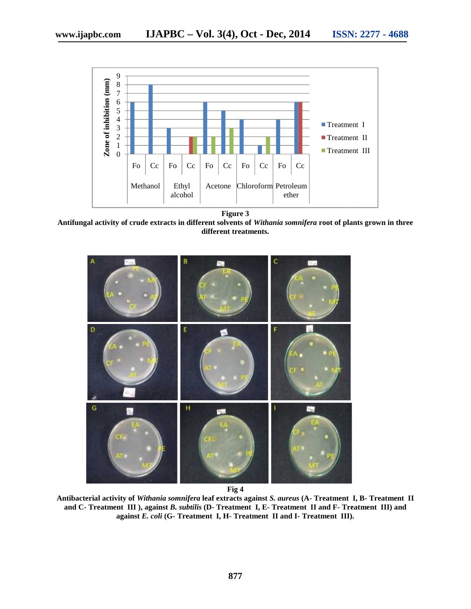

**Figure 3**

**Antifungal activity of crude extracts in different solvents of** *Withania somnifera* **root of plants grown in three solvents** *Withania somnifera* **different treatments. different** 



**Fig 4**

**Antibacterial activity of** *Withania somnifera* **leaf extracts against** *S. aureus* **(A- Treatment I, B- Treatment II and C- Treatment III ), against** *B. subtilis* **(D- Treatment I, E- Treatment II and F- Treatment III) and against** *E. coli* **(G- Treatment I, H- Treatment II and I- Treatment III).**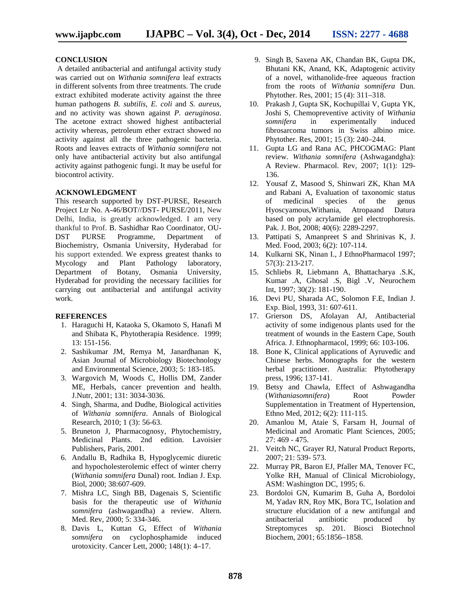# **CONCLUSION**

A detailed antibacterial and antifungal activity study was carried out on *Withania somnifera* leaf extracts in different solvents from three treatments. The crude extract exhibited moderate activity against the three human pathogens *B. subtilis, E. coli* and *S. aureus,* and no activity was shown against *P. aeruginosa*. The acetone extract showed highest antibacterial activity whereas, petroleum ether extract showed no activity against all the three pathogenic bacteria. Roots and leaves extracts of *Withania somnifera* not only have antibacterial activity but also antifungal activity against pathogenic fungi. It may be useful for biocontrol activity.

# **ACKNOWLEDGMENT**

This research supported by DST-PURSE, Research Project Ltr No. A-46/BOT//DST- PURSE/2011, New Delhi, India, is greatly acknowledged. I am very thankful to Prof. B. Sashidhar Rao Coordinator, OU- DST PURSE Programme, Department of Biochemistry, Osmania University, Hyderabad for his support extended. We express greatest thanks to Mycology and Plant Pathology laboratory, Department of Botany, Osmania University, Hyderabad for providing the necessary facilities for carrying out antibacterial and antifungal activity work.

# **REFERENCES**

- 1. Haraguchi H, Kataoka S, Okamoto S, Hanafi M and Shibata K, Phytotherapia Residence. 1999; 13: 151-156.
- 2. Sashikumar JM, Remya M, Janardhanan K, Asian Journal of Microbiology Biotechnology and Environmental Science, 2003; 5: 183-185.
- 3. Wargovich M, Woods C, Hollis DM, Zander ME, Herbals, cancer prevention and health. J.Nutr, 2001; 131: 3034-3036.
- 4. Singh, Sharma, and Dudhe, Biological activities of *Withania somnifera*. Annals of Biological Research, 2010; 1 (3): 56-63.
- 5. Bruneton J, Pharmacognosy, Phytochemistry, Medicinal Plants. 2nd edition. Lavoisier Publishers, Paris, 2001.
- 6. Andallu B, Radhika B, Hypoglycemic diuretic and hypocholesterolemic effect of winter cherry (*Withania somnifera* Dunal) root. Indian J. Exp. Biol, 2000; 38:607-609.
- 7. Mishra LC, Singh BB, Dagenais S, Scientific basis for the therapeutic use of *Withania somnifera* (ashwagandha) a review. Altern. Med. Rev, 2000; 5: 334-346.
- 8. Davis L, Kuttan G, Effect of *Withania somnifera* on cyclophosphamide induced urotoxicity. Cancer Lett, 2000; 148(1): 4–17.
- 9. Singh B, Saxena AK, Chandan BK, Gupta DK, Bhutani KK, Anand, KK, Adaptogenic activity of a novel, withanolide-free aqueous fraction from the roots of *Withania somnifera* Dun. Phytother. Res, 2001; 15 (4): 311–318.
- 10. Prakash J, Gupta SK, Kochupillai V, Gupta YK, Joshi S, Chemopreventive activity of *Withania somnifera* in experimentally induced fibrosarcoma tumors in Swiss albino mice. Phytother. Res, 2001; 15 (3): 240–244.
- 11. Gupta LG and Rana AC, PHCOGMAG: Plant review. *Withania somnifera* (Ashwagandgha): A Review. Pharmacol. Rev, 2007; 1(1): 129- 136.
- 12. Yousaf Z, Masood S, Shinwari ZK, Khan MA and Rabani A, Evaluation of taxonomic status of medicinal species of the genus Hyoscyamous,Withania, Atropaand Datura based on poly acrylamide gel electrophoresis. Pak. J. Bot, 2008; 40(6): 2289-2297.
- 13. Pattipati S, Amanpreet S and Shrinivas K, J. Med. Food, 2003; 6(2): 107-114.
- 14. Kulkarni SK, Ninan I., J EthnoPharmacol 1997; 57(3): 213-217.
- 15. Schliebs R, Liebmann A, Bhattacharya .S.K, Kumar .A, Ghosal .S, Bigl .V, Neurochem Int, 1997; 30(2): 181-190.
- 16. Devi PU, Sharada AC, Solomon F.E, Indian J. Exp. Biol, 1993, 31: 607-611.
- 17. Grierson DS, Afolayan AJ, Antibacterial activity of some indigenous plants used for the treatment of wounds in the Eastern Cape, South Africa. J. Ethnopharmacol, 1999; 66: 103-106.
- 18. Bone K, Clinical applications of Ayruvedic and Chinese herbs. Monographs for the western herbal practitioner. Australia: Phytotherapy press, 1996; 137-141.
- 19. Betsy and Chawla, Effect of Ashwagandha (*Withaniasomnifera*) Root Powder Supplementation in Treatment of Hypertension, Ethno Med, 2012; 6(2): 111-115.
- 20. Amanlou M, Ataie S, Farsam H, Journal of Medicinal and Aromatic Plant Sciences*,* 2005; 27: 469 - 475.
- 21. Veitch NC, Grayer RJ, Natural Product Reports, 2007; 21: 539- 573.
- 22. Murray PR, Baron EJ, Pfaller MA, Tenover FC, Yolke RH, Manual of Clinical Microbiology, ASM: Washington DC, 1995; 6.
- 23. Bordoloi GN, Kumarim B, Guha A, Bordoloi M, Yadav RN, Roy MK, Bora TC, Isolation and structure elucidation of a new antifungal and antibacterial antibiotic produced by Streptomyces sp. 201. Biosci Biotechnol Biochem, 2001; 65:1856–1858.